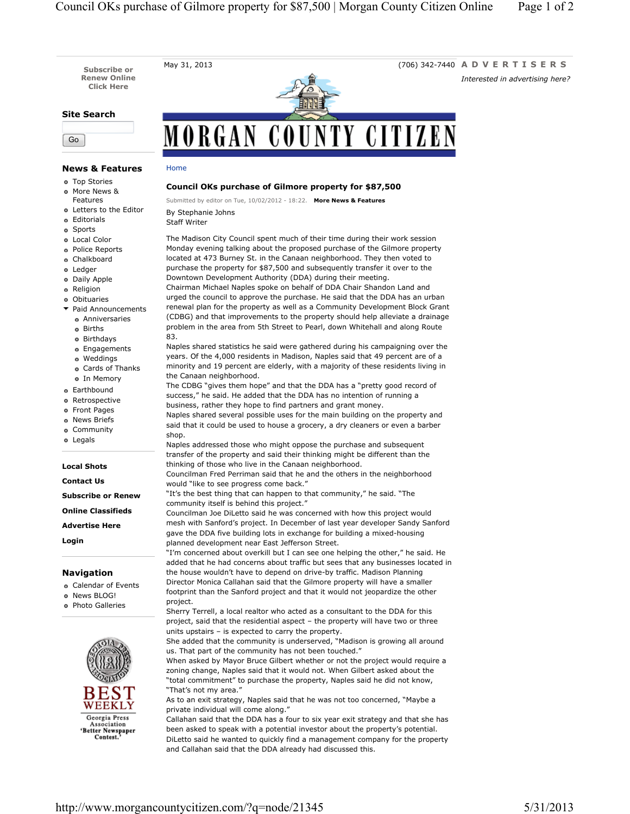**Subscribe or Renew Online Click Here**

## **Site Search**

Go

# MORGAN COUNTY CITIZEN

# **News & Features**

- Top Stories
- More News &

Features

- Letters to the Editor Editorials
- Sports
- 
- Local Color Police Reports
- Chalkboard
- e Ledger
- Daily Apple
- Religion
- Obituaries
- $\blacktriangleright$  Paid Announcements
- Anniversaries
- Births
- Birthdays
- Engagements
- Weddings Cards of Thanks
- o In Memory
- Earthbound
- Retrospective
- Front Pages
- News Briefs
- Community
- Legals

#### **Local Shots**

## **Contact Us**

- **Subscribe or Renew**
- **Online Classifieds**
- **Advertise Here**

**Login**

### **Navigation**

- Calendar of Events
- News BLOG!
- Photo Galleries



#### **Council OKs purchase of Gilmore property for \$87,500**

Submitted by editor on Tue, 10/02/2012 - 18:22. **More News & Features**

By Stephanie Johns

Home

Staff Writer

The Madison City Council spent much of their time during their work session Monday evening talking about the proposed purchase of the Gilmore property located at 473 Burney St. in the Canaan neighborhood. They then voted to purchase the property for \$87,500 and subsequently transfer it over to the Downtown Development Authority (DDA) during their meeting.

Chairman Michael Naples spoke on behalf of DDA Chair Shandon Land and urged the council to approve the purchase. He said that the DDA has an urban renewal plan for the property as well as a Community Development Block Grant (CDBG) and that improvements to the property should help alleviate a drainage problem in the area from 5th Street to Pearl, down Whitehall and along Route 83.

Naples shared statistics he said were gathered during his campaigning over the years. Of the 4,000 residents in Madison, Naples said that 49 percent are of a minority and 19 percent are elderly, with a majority of these residents living in the Canaan neighborhood.

The CDBG "gives them hope" and that the DDA has a "pretty good record of success," he said. He added that the DDA has no intention of running a business, rather they hope to find partners and grant money.

Naples shared several possible uses for the main building on the property and said that it could be used to house a grocery, a dry cleaners or even a barber shop.

Naples addressed those who might oppose the purchase and subsequent transfer of the property and said their thinking might be different than the thinking of those who live in the Canaan neighborhood.

Councilman Fred Perriman said that he and the others in the neighborhood would "like to see progress come back."

"It's the best thing that can happen to that community," he said. "The community itself is behind this project."

Councilman Joe DiLetto said he was concerned with how this project would mesh with Sanford's project. In December of last year developer Sandy Sanford gave the DDA five building lots in exchange for building a mixed-housing planned development near East Jefferson Street.

"I'm concerned about overkill but I can see one helping the other," he said. He added that he had concerns about traffic but sees that any businesses located in the house wouldn't have to depend on drive-by traffic. Madison Planning Director Monica Callahan said that the Gilmore property will have a smaller footprint than the Sanford project and that it would not jeopardize the other project.

Sherry Terrell, a local realtor who acted as a consultant to the DDA for this project, said that the residential aspect – the property will have two or three units upstairs – is expected to carry the property.

She added that the community is underserved, "Madison is growing all around us. That part of the community has not been touched."

When asked by Mayor Bruce Gilbert whether or not the project would require a zoning change, Naples said that it would not. When Gilbert asked about the "total commitment" to purchase the property, Naples said he did not know, "That's not my area."

As to an exit strategy, Naples said that he was not too concerned, "Maybe a private individual will come along."

Callahan said that the DDA has a four to six year exit strategy and that she has been asked to speak with a potential investor about the property's potential. DiLetto said he wanted to quickly find a management company for the property and Callahan said that the DDA already had discussed this.

May 31, 2013 (706) 342-7440 **ADVERTISERS** *Interested in advertising here?*